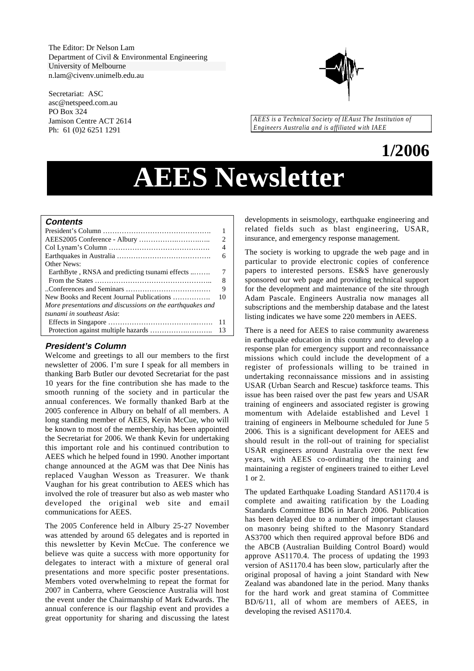The Editor: Dr Nelson Lam Department of Civil & Environmental Engineering University of Melbourne n.lam@civenv.unimelb.edu.au

Secretariat: ASC asc@netspeed.com.au PO Box 324 Jamison Centre ACT 2614 Ph: 61 (0)2 6251 1291



*AEES is a Technical Society of IEAust The Institution of Engineers Australia and is affiliated with IAEE*

## **1/2006**

# **AEES Newsletter**

## **Contents**

|                                                           | 2   |
|-----------------------------------------------------------|-----|
|                                                           | 4   |
|                                                           | 6   |
| <b>Other News:</b>                                        |     |
| EarthByte, RNSA and predicting tsunami effects            |     |
|                                                           | 8   |
|                                                           | 9   |
| New Books and Recent Journal Publications                 | 10  |
| More presentations and discussions on the earthquakes and |     |
| tsunami in southeast Asia:                                |     |
|                                                           | -11 |
|                                                           |     |

## **President's Column**

Welcome and greetings to all our members to the first newsletter of 2006. I'm sure I speak for all members in thanking Barb Butler our devoted Secretariat for the past 10 years for the fine contribution she has made to the smooth running of the society and in particular the annual conferences. We formally thanked Barb at the 2005 conference in Albury on behalf of all members. A long standing member of AEES, Kevin McCue, who will be known to most of the membership, has been appointed the Secretariat for 2006. We thank Kevin for undertaking this important role and his continued contribution to AEES which he helped found in 1990. Another important change announced at the AGM was that Dee Ninis has replaced Vaughan Wesson as Treasurer. We thank Vaughan for his great contribution to AEES which has involved the role of treasurer but also as web master who developed the original web site and email communications for AEES.

The 2005 Conference held in Albury 25-27 November was attended by around 65 delegates and is reported in this newsletter by Kevin McCue. The conference we believe was quite a success with more opportunity for delegates to interact with a mixture of general oral presentations and more specific poster presentations. Members voted overwhelming to repeat the format for 2007 in Canberra, where Geoscience Australia will host the event under the Chairmanship of Mark Edwards. The annual conference is our flagship event and provides a great opportunity for sharing and discussing the latest

developments in seismology, earthquake engineering and related fields such as blast engineering, USAR, insurance, and emergency response management.

The society is working to upgrade the web page and in particular to provide electronic copies of conference papers to interested persons. ES&S have generously sponsored our web page and providing technical support for the development and maintenance of the site through Adam Pascale. Engineers Australia now manages all subscriptions and the membership database and the latest listing indicates we have some 220 members in AEES.

There is a need for AEES to raise community awareness in earthquake education in this country and to develop a response plan for emergency support and reconnaissance missions which could include the development of a register of professionals willing to be trained in undertaking reconnaissance missions and in assisting USAR (Urban Search and Rescue) taskforce teams. This issue has been raised over the past few years and USAR training of engineers and associated register is growing momentum with Adelaide established and Level 1 training of engineers in Melbourne scheduled for June 5 2006. This is a significant development for AEES and should result in the roll-out of training for specialist USAR engineers around Australia over the next few years, with AEES co-ordinating the training and maintaining a register of engineers trained to either Level 1 or 2.

The updated Earthquake Loading Standard AS1170.4 is complete and awaiting ratification by the Loading Standards Committee BD6 in March 2006. Publication has been delayed due to a number of important clauses on masonry being shifted to the Masonry Standard AS3700 which then required approval before BD6 and the ABCB (Australian Building Control Board) would approve AS1170.4. The process of updating the 1993 version of AS1170.4 has been slow, particularly after the original proposal of having a joint Standard with New Zealand was abandoned late in the period. Many thanks for the hard work and great stamina of Committee BD/6/11, all of whom are members of AEES, in developing the revised AS1170.4.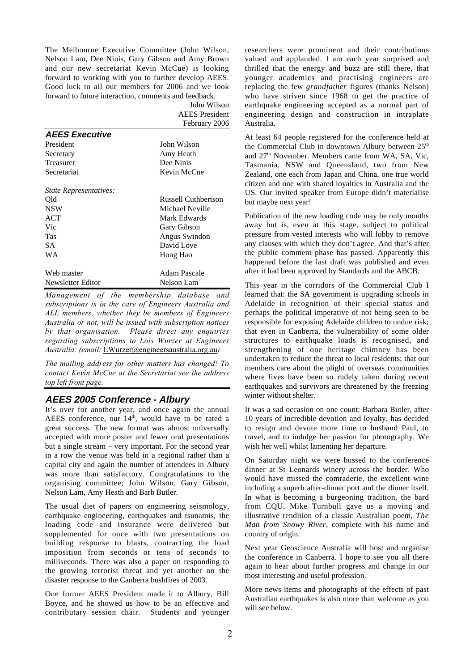The Melbourne Executive Committee (John Wilson, Nelson Lam, Dee Ninis, Gary Gibson and Amy Brown and our new secretariat Kevin McCue) is looking forward to working with you to further develop AEES. Good luck to all our members for 2006 and we look forward to future interaction, comments and feedback.

John Wilson

|                        | <b>AEES</b> President |
|------------------------|-----------------------|
|                        | February 2006         |
| <b>AEES Executive</b>  |                       |
| President              | John Wilson           |
| Secretary              | Amy Heath             |
| Treasurer              | Dee Ninis             |
| Secretariat            | Kevin McCue           |
| State Representatives: |                       |
| Old                    | Russell Cuthbertson   |
| <b>NSW</b>             | Michael Neville       |
| ACT                    | Mark Edwards          |
| Vic                    | Gary Gibson           |
| Tas                    | Angus Swindon         |
| SА                     | David Love            |
| WA                     | Hong Hao              |
| Web master             | Adam Pascale          |
| Newsletter Editor      | Nelson Lam            |

*Management of the membership database and subscriptions is in the care of Engineers Australia and ALL members, whether they be members of Engineers Australia or not, will be issued with subscription notices by that organisation. Please direct any enquiries regarding subscriptions to Lois Wurzer at Engineers Australia: (email:* LWurzer@engineersaustralia.org.au*)*

*The mailing address for other matters has changed! To contact Kevin McCue at the Secretariat see the address top left front page.*

## **AEES 2005 Conference - Albury**

It's over for another year, and once again the annual AEES conference, our  $14<sup>th</sup>$ , would have to be rated a great success. The new format was almost universally accepted with more poster and fewer oral presentations but a single stream – very important. For the second year in a row the venue was held in a regional rather than a capital city and again the number of attendees in Albury was more than satisfactory. Congratulations to the organising committee; John Wilson, Gary Gibson, Nelson Lam, Amy Heath and Barb Butler.

The usual diet of papers on engineering seismology, earthquake engineering, earthquakes and tsunamis, the loading code and insurance were delivered but supplemented for once with two presentations on building response to blasts, contracting the load imposition from seconds or tens of seconds to milliseconds. There was also a paper on responding to the growing terrorist threat and yet another on the disaster response to the Canberra bushfires of 2003.

One former AEES President made it to Albury, Bill Boyce, and he showed us how to be an effective and contributary session chair. Students and younger researchers were prominent and their contributions valued and applauded. I am each year surprised and thrilled that the energy and buzz are still there, that younger academics and practising engineers are replacing the few *grandfather* figures (thanks Nelson) who have striven since 1968 to get the practice of earthquake engineering accepted as a normal part of engineering design and construction in intraplate Australia.

At least 64 people registered for the conference held at the Commercial Club in downtown Albury between 25<sup>th</sup> and 27th November. Members came from WA, SA, Vic, Tasmania, NSW and Queensland, two from New Zealand, one each from Japan and China, one true world citizen and one with shared loyalties in Australia and the US. Our invited speaker from Europe didn't materialise but maybe next year!

Publication of the new loading code may be only months away but is, even at this stage, subject to political pressure from vested interests who will lobby to remove any clauses with which they don't agree. And that's after the public comment phase has passed. Apparently this happened before the last draft was published and even after it had been approved by Standards and the ABCB.

This year in the corridors of the Commercial Club I learned that: the SA government is upgrading schools in Adelaide in recognition of their special status and perhaps the political imperative of not being seen to be responsible for exposing Adelaide children to undue risk; that even in Canberra, the vulnerability of some older structures to earthquake loads is recognised, and strengthening of one heritage chimney has been undertaken to reduce the threat to local residents; that our members care about the plight of overseas communities where lives have been so rudely taken during recent earthquakes and survivors are threatened by the freezing winter without shelter.

It was a sad occasion on one count: Barbara Butler, after 10 years of incredible devotion and loyalty, has decided to resign and devote more time to husband Paul, to travel, and to indulge her passion for photography. We wish her well whilst lamenting her departure.

On Saturday night we were bussed to the conference dinner at St Leonards winery across the border. Who would have missed the comraderie, the excellent wine including a superb after-dinner port and the dinner itself. In what is becoming a burgeoning tradition, the bard from CQU, Mike Turnbull gave us a moving and illustrative rendition of a classic Australian poem, *The Man from Snowy River*, complete with his name and country of origin.

Next year Geoscience Australia will host and organise the conference in Canberra. I hope to see you all there again to hear about further progress and change in our most interesting and useful profession.

More news items and photographs of the effects of past Australian earthquakes is also more than welcome as you will see below.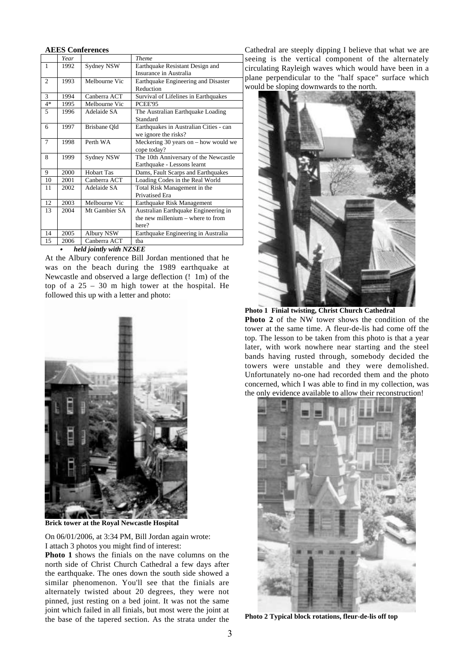## **AEES Conferences**

|                | Year |                         | <b>Theme</b>                           |
|----------------|------|-------------------------|----------------------------------------|
| 1              | 1992 | Sydney NSW              | Earthquake Resistant Design and        |
|                |      |                         | Insurance in Australia                 |
| $\overline{c}$ | 1993 | Melbourne Vic           | Earthquake Engineering and Disaster    |
|                |      |                         | Reduction                              |
| 3              | 1994 | Canberra ACT            | Survival of Lifelines in Earthquakes   |
| $4*$           | 1995 | Melbourne Vic           | <b>PCEE'95</b>                         |
| 5              | 1996 | Adelaide SA             | The Australian Earthquake Loading      |
|                |      |                         | Standard                               |
| 6              | 1997 | Brisbane Old            | Earthquakes in Australian Cities - can |
|                |      |                         | we ignore the risks?                   |
| 7              | 1998 | Perth WA                | Meckering 30 years on $-$ how would we |
|                |      |                         | cope today?                            |
| 8              | 1999 | Sydney NSW              | The 10th Anniversary of the Newcastle  |
|                |      |                         | Earthquake - Lessons learnt            |
| 9              | 2000 | Hobart Tas              | Dams, Fault Scarps and Earthquakes     |
| 10             | 2001 | Canberra ACT            | Loading Codes in the Real World        |
| 11             | 2002 | Adelaide SA             | Total Risk Management in the           |
|                |      |                         | <b>Privatised Era</b>                  |
| 12             | 2003 | Melbourne Vic           | Earthquake Risk Management             |
| 13             | 2004 | Mt Gambier SA           | Australian Earthquake Engineering in   |
|                |      |                         | the new millenium - where to from      |
|                |      |                         | here?                                  |
| 14             | 2005 | Albury NSW              | Earthquake Engineering in Australia    |
| 15             | 2006 | Canberra ACT            | tha                                    |
|                |      | held jointly with NZSEE |                                        |

### *held jointly with NZSEE*

At the Albury conference Bill Jordan mentioned that he was on the beach during the 1989 earthquake at Newcastle and observed a large deflection (! 1m) of the top of a 25 – 30 m high tower at the hospital. He followed this up with a letter and photo:



**Brick tower at the Royal Newcastle Hospital**

On 06/01/2006, at 3:34 PM, Bill Jordan again wrote: I attach 3 photos you might find of interest:

**Photo 1** shows the finials on the nave columns on the north side of Christ Church Cathedral a few days after the earthquake. The ones down the south side showed a similar phenomenon. You'll see that the finials are alternately twisted about 20 degrees, they were not pinned, just resting on a bed joint. It was not the same joint which failed in all finials, but most were the joint at the base of the tapered section. As the strata under the

Cathedral are steeply dipping I believe that what we are seeing is the vertical component of the alternately circulating Rayleigh waves which would have been in a plane perpendicular to the "half space" surface which would be sloping downwards to the north.





**Photo 2** of the NW tower shows the condition of the tower at the same time. A fleur-de-lis had come off the top. The lesson to be taken from this photo is that a year later, with work nowhere near starting and the steel bands having rusted through, somebody decided the towers were unstable and they were demolished. Unfortunately no-one had recorded them and the photo concerned, which I was able to find in my collection, was the only evidence available to allow their reconstruction!



**Photo 2 Typical block rotations, fleur-de-lis off top**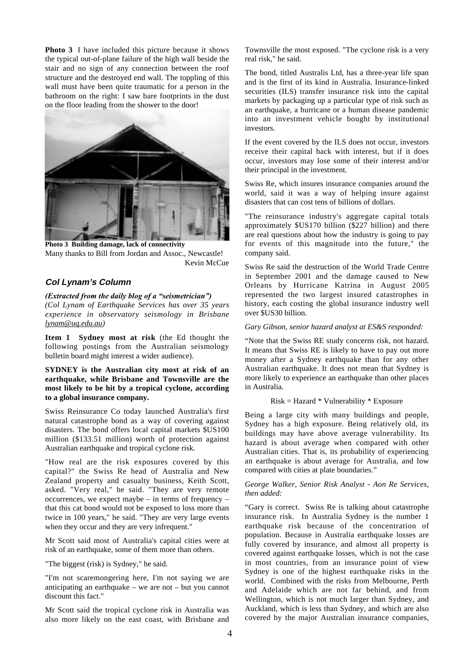**Photo 3** I have included this picture because it shows the typical out-of-plane failure of the high wall beside the stair and no sign of any connection between the roof structure and the destroyed end wall. The toppling of this wall must have been quite traumatic for a person in the bathroom on the right: I saw bare footprints in the dust on the floor leading from the shower to the door!



**Photo 3 Building damage, lack of connectivity** Many thanks to Bill from Jordan and Assoc., Newcastle! Kevin McCue

## **Col Lynam's Column**

#### *(Extracted from the daily blog of a "seismetrician")*

*(Col Lynam of Earthquake Services has over 35 years experience in observatory seismology in Brisbane lynam@uq.edu.au)*

**Item 1 Sydney most at risk** (the Ed thought the following postings from the Australian seismology bulletin board might interest a wider audience).

**SYDNEY is the Australian city most at risk of an earthquake, while Brisbane and Townsville are the most likely to be hit by a tropical cyclone, according to a global insurance company.**

Swiss Reinsurance Co today launched Australia's first natural catastrophe bond as a way of covering against disasters. The bond offers local capital markets \$US100 million (\$133.51 million) worth of protection against Australian earthquake and tropical cyclone risk.

"How real are the risk exposures covered by this capital?" the Swiss Re head of Australia and New Zealand property and casualty business, Keith Scott, asked. "Very real," he said. "They are very remote occurrences, we expect maybe – in terms of frequency – that this cat bond would not be exposed to loss more than twice in 100 years," he said. "They are very large events when they occur and they are very infrequent."

Mr Scott said most of Australia's capital cities were at risk of an earthquake, some of them more than others.

"The biggest (risk) is Sydney," he said.

"I'm not scaremongering here, I'm not saying we are anticipating an earthquake – we are not – but you cannot discount this fact."

Mr Scott said the tropical cyclone risk in Australia was also more likely on the east coast, with Brisbane and Townsville the most exposed. "The cyclone risk is a very real risk," he said.

The bond, titled Australis Ltd, has a three-year life span and is the first of its kind in Australia. Insurance-linked securities (ILS) transfer insurance risk into the capital markets by packaging up a particular type of risk such as an earthquake, a hurricane or a human disease pandemic into an investment vehicle bought by institutional investors.

If the event covered by the ILS does not occur, investors receive their capital back with interest, but if it does occur, investors may lose some of their interest and/or their principal in the investment.

Swiss Re, which insures insurance companies around the world, said it was a way of helping insure against disasters that can cost tens of billions of dollars.

"The reinsurance industry's aggregate capital totals approximately \$US170 billion (\$227 billion) and there are real questions about how the industry is going to pay for events of this magnitude into the future," the company said.

Swiss Re said the destruction of the World Trade Centre in September 2001 and the damage caused to New Orleans by Hurricane Katrina in August 2005 represented the two largest insured catastrophes in history, each costing the global insurance industry well over \$US30 billion.

## *Gary Gibson, senior hazard analyst at ES&S responded:*

"Note that the Swiss RE study concerns risk, not hazard. It means that Swiss RE is likely to have to pay out more money after a Sydney earthquake than for any other Australian earthquake. It does not mean that Sydney is more likely to experience an earthquake than other places in Australia.

## $Risk = Hazard * Valnerability * Exposure$

Being a large city with many buildings and people, Sydney has a high exposure. Being relatively old, its buildings may have above average vulnerability. Its hazard is about average when compared with other Australian cities. That is, its probability of experiencing an earthquake is about average for Australia, and low compared with cities at plate boundaries."

*George Walker, Senior Risk Analyst - Aon Re Services, then added:*

"Gary is correct. Swiss Re is talking about catastrophe insurance risk. In Australia Sydney is the number 1 earthquake risk because of the concentration of population. Because in Australia earthquake losses are fully covered by insurance, and almost all property is covered against earthquake losses, which is not the case in most countries, from an insurance point of view Sydney is one of the highest earthquake risks in the world. Combined with the risks from Melbourne, Perth and Adelaide which are not far behind, and from Wellington, which is not much larger than Sydney, and Auckland, which is less than Sydney, and which are also covered by the major Australian insurance companies,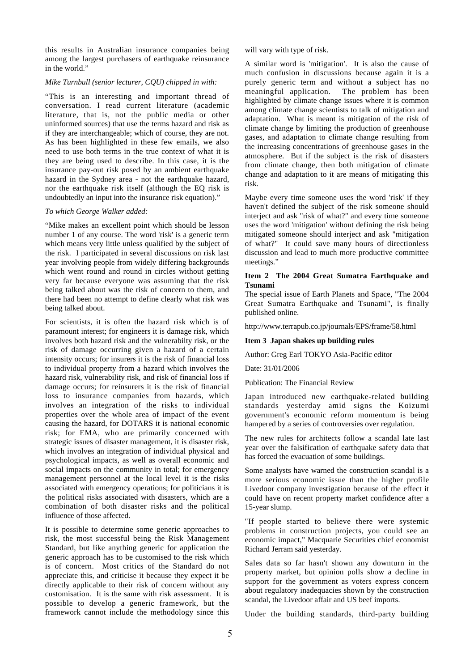this results in Australian insurance companies being among the largest purchasers of earthquake reinsurance in the world."

#### *Mike Turnbull (senior lecturer, CQU) chipped in with:*

"This is an interesting and important thread of conversation. I read current literature (academic literature, that is, not the public media or other uninformed sources) that use the terms hazard and risk as if they are interchangeable; which of course, they are not. As has been highlighted in these few emails, we also need to use both terms in the true context of what it is they are being used to describe. In this case, it is the insurance pay-out risk posed by an ambient earthquake hazard in the Sydney area - not the earthquake hazard, nor the earthquake risk itself (although the EQ risk is undoubtedly an input into the insurance risk equation)."

#### *To which George Walker added:*

"Mike makes an excellent point which should be lesson number 1 of any course. The word 'risk' is a generic term which means very little unless qualified by the subject of the risk. I participated in several discussions on risk last year involving people from widely differing backgrounds which went round and round in circles without getting very far because everyone was assuming that the risk being talked about was the risk of concern to them, and there had been no attempt to define clearly what risk was being talked about.

For scientists, it is often the hazard risk which is of paramount interest; for engineers it is damage risk, which involves both hazard risk and the vulnerabilty risk, or the risk of damage occurring given a hazard of a certain intensity occurs; for insurers it is the risk of financial loss to individual property from a hazard which involves the hazard risk, vulnerability risk, and risk of financial loss if damage occurs; for reinsurers it is the risk of financial loss to insurance companies from hazards, which involves an integration of the risks to individual properties over the whole area of impact of the event causing the hazard, for DOTARS it is national economic risk; for EMA, who are primarily concerned with strategic issues of disaster management, it is disaster risk, which involves an integration of individual physical and psychological impacts, as well as overall economic and social impacts on the community in total; for emergency management personnel at the local level it is the risks associated with emergency operations; for politicians it is the political risks associated with disasters, which are a combination of both disaster risks and the political influence of those affected.

It is possible to determine some generic approaches to risk, the most successful being the Risk Management Standard, but like anything generic for application the generic approach has to be customised to the risk which is of concern. Most critics of the Standard do not appreciate this, and criticise it because they expect it be directly applicable to their risk of concern without any customisation. It is the same with risk assessment. It is possible to develop a generic framework, but the framework cannot include the methodology since this will vary with type of risk.

A similar word is 'mitigation'. It is also the cause of much confusion in discussions because again it is a purely generic term and without a subject has no<br>meaningful application. The problem has been The problem has been highlighted by climate change issues where it is common among climate change scientists to talk of mitigation and adaptation. What is meant is mitigation of the risk of climate change by limiting the production of greenhouse gases, and adaptation to climate change resulting from the increasing concentrations of greenhouse gases in the atmosphere. But if the subject is the risk of disasters from climate change, then both mitigation of climate change and adaptation to it are means of mitigating this risk.

Maybe every time someone uses the word 'risk' if they haven't defined the subject of the risk someone should interject and ask "risk of what?" and every time someone uses the word 'mitigation' without defining the risk being mitigated someone should interject and ask "mitigation of what?" It could save many hours of directionless discussion and lead to much more productive committee meetings."

## **Item 2 The 2004 Great Sumatra Earthquake and Tsunami**

The special issue of Earth Planets and Space, "The 2004 Great Sumatra Earthquake and Tsunami", is finally published online.

http://www.terrapub.co.jp/journals/EPS/frame/58.html

#### **Item 3 Japan shakes up building rules**

Author: Greg Earl TOKYO Asia-Pacific editor

Date: 31/01/2006

Publication: The Financial Review

Japan introduced new earthquake-related building standards yesterday amid signs the Koizumi government's economic reform momentum is being hampered by a series of controversies over regulation.

The new rules for architects follow a scandal late last year over the falsification of earthquake safety data that has forced the evacuation of some buildings.

Some analysts have warned the construction scandal is a more serious economic issue than the higher profile Livedoor company investigation because of the effect it could have on recent property market confidence after a 15-year slump.

"If people started to believe there were systemic problems in construction projects, you could see an economic impact," Macquarie Securities chief economist Richard Jerram said yesterday.

Sales data so far hasn't shown any downturn in the property market, but opinion polls show a decline in support for the government as voters express concern about regulatory inadequacies shown by the construction scandal, the Livedoor affair and US beef imports.

Under the building standards, third-party building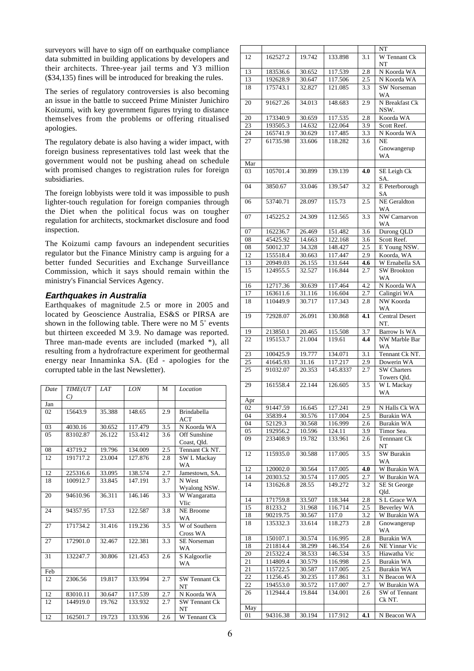surveyors will have to sign off on earthquake compliance data submitted in building applications by developers and their architects. Three-year jail terms and Y3 million (\$34,135) fines will be introduced for breaking the rules.

The series of regulatory controversies is also becoming an issue in the battle to succeed Prime Minister Junichiro Koizumi, with key government figures trying to distance themselves from the problems or offering ritualised apologies.

The regulatory debate is also having a wider impact, with foreign business representatives told last week that the government would not be pushing ahead on schedule with promised changes to registration rules for foreign subsidiaries.

The foreign lobbyists were told it was impossible to push lighter-touch regulation for foreign companies through the Diet when the political focus was on tougher regulation for architects, stockmarket disclosure and food inspection.

The Koizumi camp favours an independent securities regulator but the Finance Ministry camp is arguing for a better funded Securities and Exchange Surveillance Commission, which it says should remain within the ministry's Financial Services Agency.

## **Earthquakes in Australia**

Earthquakes of magnitude 2.5 or more in 2005 and located by Geoscience Australia, ES&S or PIRSA are shown in the following table. There were no M  $5^+$  events but thirteen exceeded M 3.9. No damage was reported. Three man-made events are included (marked \*), all resulting from a hydrofracture experiment for geothermal energy near Innaminka SA. (Ed - apologies for the corrupted table in the last Newsletter).

| Date | TIME(UT<br>$\mathcal{C}$ | IAT    | LON     | M   | Location                          |
|------|--------------------------|--------|---------|-----|-----------------------------------|
| Jan  |                          |        |         |     |                                   |
| 02   | 15643.9                  | 35.388 | 148.65  | 2.9 | <b>Brindabella</b><br><b>ACT</b>  |
| 03   | 4030.16                  | 30.652 | 117.479 | 3.5 | N Koorda WA                       |
| 05   | 83102.87                 | 26.122 | 153.412 | 3.6 | Off Sunshine<br>Coast, Qld.       |
| 08   | 43719.2                  | 19.796 | 134.009 | 2.5 | Tennant Ck NT.                    |
| 12   | 191717.2                 | 23.004 | 127.876 | 2.8 | <b>SW L Mackay</b><br><b>WA</b>   |
| 12   | 225316.6                 | 33.095 | 138.574 | 2.7 | Jamestown, SA.                    |
| 18   | 100912.7                 | 33.845 | 147.191 | 3.7 | N West<br>Wyalong NSW.            |
| 20   | 94610.96                 | 36.311 | 146.146 | 3.3 | W Wangaratta<br>VIic              |
| 24   | 94357.95                 | 17.53  | 122.587 | 3.8 | <b>NE</b> Broome<br><b>WA</b>     |
| 27   | 171734.2                 | 31.416 | 119.236 | 3.5 | W of Southern<br>Cross WA         |
| 27   | 172901.0                 | 32.467 | 122.381 | 3.3 | <b>SE</b> Norseman<br>WA          |
| 31   | 132247.7                 | 30.806 | 121.453 | 2.6 | S Kalgoorlie<br>WA                |
| Feb  |                          |        |         |     |                                   |
| 12   | 2306.56                  | 19.817 | 133.994 | 2.7 | <b>SW Tennant Ck</b><br><b>NT</b> |
| 12   | 83010.11                 | 30.647 | 117.539 | 2.7 | N Koorda WA                       |
| 12   | 144919.0                 | 19.762 | 133.932 | 2.7 | <b>SW Tennant Ck</b><br>NT        |
| 12   | 162501.7                 | 19.723 | 133.936 | 2.6 | W Tennant Ck                      |

|                 |          |        |          |                  | NT                                |
|-----------------|----------|--------|----------|------------------|-----------------------------------|
| 12              | 162527.2 | 19.742 | 133.898  | 3.1              | W Tennant Ck<br>NT                |
| $\overline{13}$ | 183536.6 | 30.652 | 117.539  | 2.8              | N Koorda WA                       |
| 13              | 192628.9 | 30.647 | 117.506  | 2.5              | N Koorda WA                       |
| 18              | 175743.1 | 32.827 | 121.085  | 3.3              | <b>SW Norseman</b><br>WA          |
| 20              | 91627.26 | 34.013 | 148.683  | $\overline{2.9}$ | N Breakfast Ck<br>NSW.            |
| 20              | 173340.9 | 30.659 | 117.535  | 2.8              | Koorda WA                         |
| 23              | 193505.3 | 14.632 | 122.064  | 3.9              | Scott Reef.                       |
| 24              | 165741.9 | 30.629 | 117.485  | 3.3              | N Koorda WA                       |
| 27              | 61735.98 | 33.606 | 118.282  | 3.6              | NΕ                                |
|                 |          |        |          |                  | Gnowangerup<br>WA                 |
| Mar             |          |        |          |                  |                                   |
| 03              | 105701.4 | 30.899 | 139.139  | 4.0              | SE Leigh Ck<br>SA.                |
| 04              | 3850.67  | 33.046 | 139.547  | 3.2              | E Peterborough<br>SA              |
| 06              | 53740.71 | 28.097 | 115.73   | 2.5              | <b>NE</b> Geraldton<br>WA         |
| 07              | 145225.2 | 24.309 | 112.565  | 3.3              | <b>NW Carnarvon</b><br>WA         |
| 07              | 162236.7 | 26.469 | 151.482  | 3.6              | Durong QLD                        |
| 08              | 45425.92 | 14.663 | 122.168  | 3.6              | Scott Reef.                       |
| 08              | 50012.37 | 34.328 | 148.427  | 2.5              | E Young NSW.                      |
| $\overline{12}$ | 155518.4 | 30.663 | 117.447  | 2.9              | Koorda, WA                        |
| 13              | 20949.03 | 26.155 | 131.644  | $\overline{4.6}$ | W Ernabella SA                    |
| 15              | 124955.5 | 32.527 | 116.844  | 2.7              | <b>SW</b> Brookton                |
| 16              | 12717.36 | 30.639 | 117.464  | 4.2              | WA<br>N Koorda WA                 |
| 17              | 163611.6 | 31.116 | 116.604  | 2.7              | Calingiri WA                      |
| 18              | 110449.9 | 30.717 | 117.343  | 2.8              | NW Koorda                         |
|                 |          |        |          |                  | WA                                |
| 19              | 72928.07 | 26.091 | 130.868  | 4.1              | <b>Central Desert</b><br>NT.      |
| 19              | 213850.1 | 20.465 | 115.508  | 3.7              | <b>Barrow Is WA</b>               |
| 22              | 195153.7 | 21.004 | 119.61   | 4.4              | NW Marble Bar<br>WA               |
| 23              | 100425.9 | 19.777 | 134.071  | $\overline{3.1}$ | Tennant Ck NT.                    |
| 25              | 41645.93 | 31.16  | 117.217  | 2.9              | Dowerin WA                        |
| 25              | 91032.07 | 20.353 | 145.8337 | 2.7              | <b>SW</b> Charters<br>Towers Qld. |
| 29              | 161558.4 | 22.144 | 126.605  | 3.5              | W L Mackay<br>WA                  |
| Apr             |          |        |          |                  |                                   |
| 02              | 91447.59 | 16.645 | 127.241  | 2.9              | N Halls Ck WA                     |
| 04              | 35839.4  | 30.576 | 117.004  | 2.5              | Burakin WA                        |
| 04              | 52129.3  | 30.568 | 116.999  | 2.6              | Burakin WA                        |
| 05              | 192956.2 | 10.596 | 124.11   | 3.9              | Timor Sea.                        |
| 09              | 233408.9 | 19.782 | 133.961  | 2.6              | Tennnant Ck<br>NT                 |
| 12              | 115935.0 | 30.588 | 117.005  | 3.5              | <b>SW Burakin</b><br>WA           |
| 12              | 120002.0 | 30.564 | 117.005  | 4.0              | W Burakin WA                      |
| 14              | 20303.52 | 30.574 | 117.005  | 2.7              | W Burakin WA                      |
| 14              | 131626.8 | 28.55  | 149.272  | 3.2              | SE St George<br>Qld.              |
| 14              | 171759.8 | 33.507 | 118.344  | 2.8              | S L Grace WA                      |
| 15              | 81233.2  | 31.968 | 116.714  | 2.5              | <b>Beverley WA</b>                |
| 18              | 90219.75 | 30.567 | 117.0    | 3.2              | W Burakin WA                      |
| 18              | 135332.3 | 33.614 | 118.273  | 2.8              | Gnowangerup<br>WA                 |
| 18              | 150107.1 | 30.574 | 116.995  | 2.8              | Burakin WA                        |
| 18              | 211814.4 | 38.299 | 146.354  | 2.6              | NE Yinnar Vic                     |
| 20              | 215322.4 | 38.533 | 146.534  | 3.5              | Hiawatha Vic                      |
| 21              | 114809.4 | 30.579 | 116.998  | 2.5              | Burakin WA                        |
| 21              | 115722.5 | 30.587 | 117.005  | 2.5              | Burakin WA                        |
| 22              | 11256.45 | 30.235 | 117.861  | 3.1              | N Beacon WA                       |
| 22              | 194553.0 | 30.572 | 117.007  | 2.7              | W Burakin WA                      |
| 26              | 112944.4 | 19.844 | 134.001  | 2.6              | SW of Tennant<br>Ck NT.           |
| May             |          |        |          |                  |                                   |
| 01              | 94316.38 | 30.194 | 117.912  | 4.1              | N Beacon WA                       |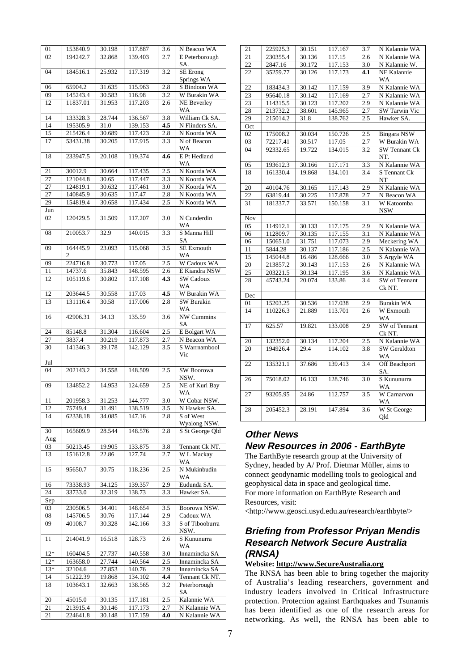| 01              | 153840.9             | 30.198           | 117.887            | 3.6        | N Beacon WA                    |
|-----------------|----------------------|------------------|--------------------|------------|--------------------------------|
| 02              | 194242.7             | 32.868           | 139.403            | 2.7        | E Peterborough                 |
|                 |                      |                  |                    |            |                                |
|                 |                      |                  |                    |            | SA.                            |
| 04              | 184516.1             | 25.932           | 117.319            | 3.2        | SE Erong                       |
|                 |                      |                  |                    |            | Springs WA                     |
| 06              | 65904.2              | 31.635           | 115.963            | 2.8        | S Bindoon WA                   |
|                 |                      |                  |                    |            |                                |
| 09              | 145243.4             | 30.583           | 116.98             | 3.2        | W Burakin WA                   |
| 12              | 11837.01             | 31.953           | 117.203            | 2.6        | <b>NE</b> Beverley             |
|                 |                      |                  |                    |            | WA                             |
| 14              | 133328.3             | 28.744           |                    |            | William Ck SA.                 |
|                 |                      |                  | 136.567            | 3.8        |                                |
| 14              | 195305.9             | 31.0             | 139.153            | 4.5        | N Flinders SA.                 |
| 15              | 215426.4             | 30.689           | 117.423            | 2.8        | N Koorda WA                    |
| 17              | 53431.38             | 30.205           | 117.915            | 3.3        | N of Beacon                    |
|                 |                      |                  |                    |            |                                |
|                 |                      |                  |                    |            | WA                             |
| 18              | 233947.5             | 20.108           | 119.374            | 4.6        | E Pt Hedland                   |
|                 |                      |                  |                    |            | WА                             |
| 21              | 30012.9              | 30.664           | 117.435            | 2.5        | N Koorda WA                    |
|                 |                      |                  |                    |            | N Koorda WA                    |
| 27              | 121044.8             | 30.65            | 117.447            | 3.3        |                                |
| 27              | 124819.1             | 30.632           | 117.461            | 3.0        | N Koorda WA                    |
| $\overline{27}$ | 140845.9             | 30.635           | 117.47             | 2.8        | N Koorda WA                    |
| 29              | 154819.4             | 30.658           | 117.434            | 2.5        | N Koorda WA                    |
|                 |                      |                  |                    |            |                                |
| Jun             |                      |                  |                    |            |                                |
| 02              | 120429.5             | 31.509           | 117.207            | 3.0        | N Cunderdin                    |
|                 |                      |                  |                    |            | WA                             |
| 08              | 210053.7             | 32.9             | 140.015            | 3.3        | S Manna Hill                   |
|                 |                      |                  |                    |            | SA                             |
|                 |                      |                  |                    |            |                                |
| 09              | 164445.9             | 23.093           | 115.068            | 3.5        | SE Exmouth                     |
|                 | 2                    |                  |                    |            | <b>WA</b>                      |
| 09              | 224716.8             | 30.773           | 117.05             | 2.5        | W Cadoux WA                    |
| 11              | 14737.6              | 35.843           | 148.595            | $2.6\,$    | E Kiandra NSW                  |
| 12              | 105119.6             | 30.802           | 117.108            | 4.3        | <b>SW Cadoux</b>               |
|                 |                      |                  |                    |            |                                |
|                 |                      |                  |                    |            | WA                             |
| 12              | 203644.5             | 30.558           | 117.03             | 4.5        | W Burakin WA                   |
| 13              | 131116.4             | 30.58            | 117.006            | 2.8        | SW Burakin                     |
|                 |                      |                  |                    |            | WA                             |
| 16              | 42906.31             | 34.13            | 135.59             | 3.6        | NW Cummins                     |
|                 |                      |                  |                    |            | SA                             |
|                 |                      |                  |                    |            |                                |
| 24              | 85148.8              | 31.304           | 116.604            | 2.5        | E Bolgart WA                   |
|                 | 3837.4               |                  |                    |            |                                |
| 27              |                      | 30.219           | 117.873            | 2.7        | N Beacon WA                    |
| 30              | 141346.3             | 39.178           | 142.129            | 3.5        | S Warrnambool                  |
|                 |                      |                  |                    |            |                                |
|                 |                      |                  |                    |            | Vic                            |
| Jul             |                      |                  |                    |            |                                |
| 04              | 202143.2             | 34.558           | 148.509            | 2.5        | SW Boorowa                     |
|                 |                      |                  |                    |            | NSW.                           |
| 09              | 134852.2             | 14.953           | 124.659            | 2.5        | NE of Kuri Bay                 |
|                 |                      |                  |                    |            |                                |
|                 |                      |                  |                    |            | WA                             |
| 11              | 201958.3             | 31.253           | 144.777            | 3.0        | W Cobar NSW.                   |
| 12              | 75749.4              | 31.491           | 138.519            | 3.5        | N Hawker SA.                   |
| 14              | 62338.18             | 34.085           | 147.16             | 2.8        | S of West                      |
|                 |                      |                  |                    |            |                                |
|                 |                      |                  |                    |            | Wyalong NSW.                   |
| 30              | 165609.9             | 28.544           | 148.576            | 2.8        | S St George Qld                |
| Aug             |                      |                  |                    |            |                                |
| 03              | 50213.45             | 19.905           | 133.875            | 3.8        | Tennant Ck NT.                 |
| 13              | 151612.8             | 22.86            | 127.74             | 2.7        | W L Mackay                     |
|                 |                      |                  |                    |            | WA                             |
| 15              | 95650.7              | 30.75            |                    |            | N Mukinbudin                   |
|                 |                      |                  | 118.236            | 2.5        |                                |
|                 |                      |                  |                    |            | WA                             |
| 16              | 73338.93             | 34.125           | 139.357            | 2.9        | Eudunda SA.                    |
| 24              | 33733.0              | 32.319           | 138.73             | 3.3        | Hawker SA.                     |
| Sep             |                      |                  |                    |            |                                |
| 03              | 230506.5             | 34.401           | 148.654            | 3.5        | Boorowa NSW.                   |
|                 |                      |                  |                    |            |                                |
| 08              | 145706.5             | 30.76            | 117.144            | 2.9        | Cadoux WA                      |
| 09              | 40108.7              | 30.328           | 142.166            | 3.3        | S of Tibooburra                |
|                 |                      |                  |                    |            | NSW.                           |
| 11              | 214041.9             | 16.518           | 128.73             | 2.6        | S Kununurra                    |
|                 |                      |                  |                    |            | WA                             |
|                 |                      |                  |                    |            |                                |
| $12*$           | 160404.5             | 27.737           | 140.558            | 3.0        | Innamincka SA                  |
| $12*$           | 163658.0             | 27.744           | 140.564            | 2.5        | Innamincka SA                  |
| $13*$           | 32104.6              | 27.853           | 140.76             | 2.9        | Innamincka SA                  |
| 14              | 51222.39             | 19.868           | 134.102            | 4.4        | Tennant Ck NT.                 |
| 18              | 103643.1             | 32.663           | 138.565            | 3.2        | Peterborough                   |
|                 |                      |                  |                    |            | SA                             |
|                 |                      |                  |                    |            |                                |
| 20              | 45015.0              | 30.135           | 117.181            | 2.5        | Kalannie WA                    |
| 21<br>21        | 213915.4<br>224641.8 | 30.146<br>30.148 | 117.173<br>117.159 | 2.7<br>4.0 | N Kalannie WA<br>N Kalannie WA |

| 21  | 225925.3 | 30.151 | 117.167 | 3.7              | N Kalannie WA               |
|-----|----------|--------|---------|------------------|-----------------------------|
| 21  | 230355.4 | 30.136 | 117.15  | 2.6              | N Kalannie WA               |
| 22  | 2847.16  | 30.172 | 117.153 | $\overline{3.0}$ | N Kalannie W.               |
| 22  | 35259.77 | 30.126 | 117.173 | 4.1              | NE Kalannie<br>WA           |
| 22  | 183434.3 | 30.142 | 117.159 | 3.9              | N Kalannie WA               |
| 23  | 95640.18 | 30.142 | 117.169 | 2.7              | N Kalannie WA               |
| 23  |          | 30.123 | 117.202 | 2.9              | N Kalannie WA               |
|     | 114315.5 |        |         |                  |                             |
| 28  | 213732.2 | 38.601 | 145.965 | 2.7              | <b>SW Tarwin Vic</b>        |
| 29  | 215014.2 | 31.8   | 138.762 | 2.5              | Hawker SA.                  |
| Oct |          |        |         |                  |                             |
| 02  | 175008.2 | 30.034 | 150.726 | 2.5              | <b>Bingara NSW</b>          |
| 03  | 72217.41 | 30.517 | 117.05  | 2.7              | W Burakin WA                |
| 04  | 92332.65 | 19.722 | 134.015 | 3.2              | <b>SW Tennant Ck</b><br>NT. |
| 05  | 193612.3 | 30.166 | 117.171 | 3.3              | N Kalannie WA               |
| 18  | 161330.4 | 19.868 | 134.101 | $\overline{3.4}$ | S Tennant Ck<br>NT          |
| 20  | 40104.76 | 30.165 | 117.143 | 2.9              | N Kalannie WA               |
| 22  | 63819.44 | 30.225 | 117.878 | 2.7              | N Beacon WA                 |
|     |          |        |         |                  |                             |
| 31  | 181337.7 | 33.571 | 150.158 | 3.1              | W Katoomba<br>NSW           |
| Nov |          |        |         |                  |                             |
| 05  | 114912.1 | 30.133 | 117.175 | 2.9              | N Kalannie WA               |
| 06  | 112809.7 | 30.135 | 117.155 | 3.1              | N Kalannie WA               |
| 06  | 150651.0 | 31.751 | 117.073 | 2.9              | Meckering WA                |
| 11  | 5844.28  | 30.137 | 117.186 | 2.5              | N Kalannie WA               |
| 15  | 145044.8 | 16.486 | 128.666 | 3.0              | S Argyle WA                 |
| 20  | 213857.2 | 30.143 | 117.153 | 2.6              | N Kalannie WA               |
| 25  | 203221.5 | 30.134 | 117.195 | 3.6              | N Kalannie WA               |
| 28  | 45743.24 | 20.074 | 133.86  | 3.4              | SW of Tennant               |
|     |          |        |         |                  | Ck NT.                      |
| Dec |          |        |         |                  |                             |
| 01  | 15203.25 | 30.536 | 117.038 | 2.9              | Burakin WA                  |
| 14  | 110226.3 | 21.889 | 113.701 | 2.6              | W Exmouth                   |
|     |          |        |         |                  | WA                          |
| 17  | 625.57   | 19.821 | 133.008 | 2.9              | SW of Tennant               |
|     |          |        |         |                  | Ck NT.                      |
| 20  | 132352.0 | 30.134 | 117.204 | 2.5              | N Kalannie WA               |
| 20  | 194926.4 | 29.4   | 114.102 | 3.8              | <b>SW</b> Geraldton         |
|     |          |        |         |                  | WA                          |
| 22  | 135321.1 | 37.686 | 139.413 | 3.4              | Off Beachport<br>SA.        |
| 26  | 75018.02 | 16.133 | 128.746 | 3.0              | S Kununurra                 |
|     |          |        |         |                  | W <sub>A</sub>              |
| 27  | 93205.95 | 24.86  | 112.757 | 3.5              | W Carnarvon<br>WA           |
| 28  | 205452.3 | 28.191 | 147.894 | 3.6              | W St George                 |
|     |          |        |         |                  | Qld                         |
|     |          |        |         |                  |                             |

## **Other News New Resources in 2006 - EarthByte**

The EarthByte research group at the University of Sydney, headed by A/ Prof. Dietmar Müller, aims to connect geodynamic modelling tools to geological and geophysical data in space and geological time. For more information on EarthByte Research and Resources, visit:

<http://www.geosci.usyd.edu.au/research/earthbyte/>

## **Briefing from Professor Priyan Mendis Research Network Secure Australia (RNSA)**

## **Website: http://www.SecureAustralia.org**

The RNSA has been able to bring together the majority of Australia's leading researchers, government and industry leaders involved in Critical Infrastructure protection. Protection against Earthquakes and Tsunamis has been identified as one of the research areas for networking. As well, the RNSA has been able to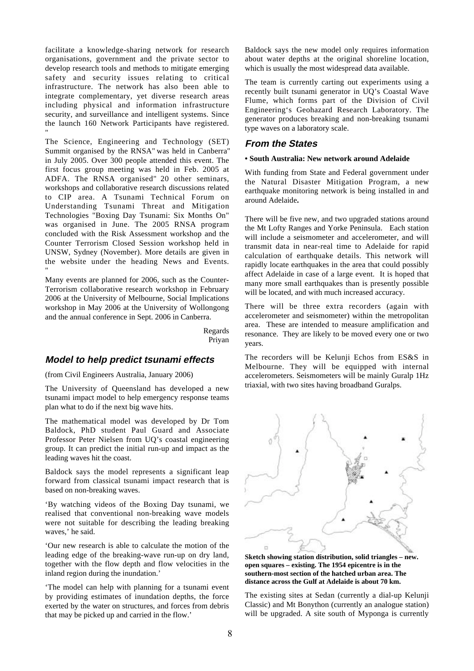facilitate a knowledge-sharing network for research organisations, government and the private sector to develop research tools and methods to mitigate emerging safety and security issues relating to critical infrastructure. The network has also been able to integrate complementary, yet diverse research areas including physical and information infrastructure security, and surveillance and intelligent systems. Since the launch 160 Network Participants have registered. I

The Science, Engineering and Technology (SET) Summit organised by the RNSA" was held in Canberra" in July 2005. Over 300 people attended this event. The first focus group meeting was held in Feb. 2005 at ADFA. The RNSA organised" 20 other seminars, workshops and collaborative research discussions related to CIP area. A Tsunami Technical Forum on Understanding Tsunami Threat and Mitigation Technologies "Boxing Day Tsunami: Six Months On" was organised in June. The 2005 RNSA program concluded with the Risk Assessment workshop and the Counter Terrorism Closed Session workshop held in UNSW, Sydney (November). More details are given in the website under the heading News and Events. I

Many events are planned for 2006, such as the Counter-Terrorism collaborative research workshop in February 2006 at the University of Melbourne, Social Implications workshop in May 2006 at the University of Wollongong and the annual conference in Sept. 2006 in Canberra.

> Regards Priyan

## **Model to help predict tsunami effects**

(from Civil Engineers Australia, January 2006)

The University of Queensland has developed a new tsunami impact model to help emergency response teams plan what to do if the next big wave hits.

The mathematical model was developed by Dr Tom Baldock, PhD student Paul Guard and Associate Professor Peter Nielsen from UQ's coastal engineering group. It can predict the initial run-up and impact as the leading waves hit the coast.

Baldock says the model represents a significant leap forward from classical tsunami impact research that is based on non-breaking waves.

'By watching videos of the Boxing Day tsunami, we realised that conventional non-breaking wave models were not suitable for describing the leading breaking waves,' he said.

'Our new research is able to calculate the motion of the leading edge of the breaking-wave run-up on dry land, together with the flow depth and flow velocities in the inland region during the inundation.'

'The model can help with planning for a tsunami event by providing estimates of inundation depths, the force exerted by the water on structures, and forces from debris that may be picked up and carried in the flow.'

Baldock says the new model only requires information about water depths at the original shoreline location, which is usually the most widespread data available.

The team is currently carting out experiments using a recently built tsunami generator in UQ's Coastal Wave Flume, which forms part of the Division of Civil Engineering's Geohazard Research Laboratory. The generator produces breaking and non-breaking tsunami type waves on a laboratory scale.

## **From the States**

## **• South Australia: New network around Adelaide**

With funding from State and Federal government under the Natural Disaster Mitigation Program, a new earthquake monitoring network is being installed in and around Adelaide**.**

There will be five new, and two upgraded stations around the Mt Lofty Ranges and Yorke Peninsula. Each station will include a seismometer and accelerometer, and will transmit data in near-real time to Adelaide for rapid calculation of earthquake details. This network will rapidly locate earthquakes in the area that could possibly affect Adelaide in case of a large event. It is hoped that many more small earthquakes than is presently possible will be located, and with much increased accuracy.

There will be three extra recorders (again with accelerometer and seismometer) within the metropolitan area. These are intended to measure amplification and resonance. They are likely to be moved every one or two years.

The recorders will be Kelunji Echos from ES&S in Melbourne. They will be equipped with internal accelerometers. Seismometers will be mainly Guralp 1Hz triaxial, with two sites having broadband Guralps.



**Sketch showing station distribution, solid triangles – new. open squares – existing. The 1954 epicentre is in the southern-most section of the hatched urban area. The distance across the Gulf at Adelaide is about 70 km.**

The existing sites at Sedan (currently a dial-up Kelunji Classic) and Mt Bonython (currently an analogue station) will be upgraded. A site south of Myponga is currently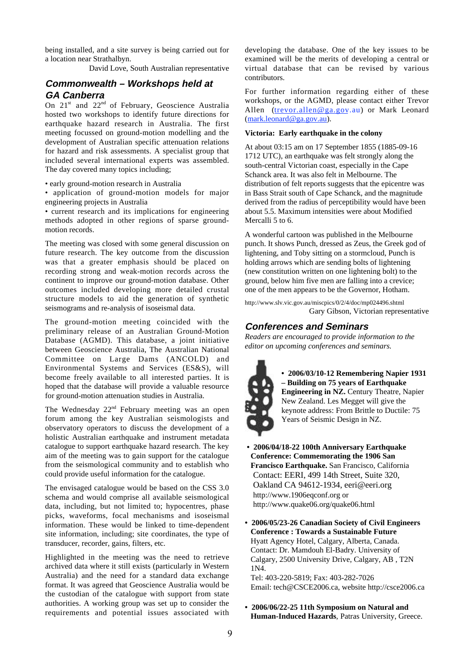being installed, and a site survey is being carried out for a location near Strathalbyn.

David Love, South Australian representative

## **Commonwealth – Workshops held at GA Canberra**

On  $21<sup>st</sup>$  and  $22<sup>nd</sup>$  of February, Geoscience Australia hosted two workshops to identify future directions for earthquake hazard research in Australia. The first meeting focussed on ground-motion modelling and the development of Australian specific attenuation relations for hazard and risk assessments. A specialist group that included several international experts was assembled. The day covered many topics including;

• early ground-motion research in Australia

• application of ground-motion models for major engineering projects in Australia

• current research and its implications for engineering methods adopted in other regions of sparse groundmotion records.

The meeting was closed with some general discussion on future research. The key outcome from the discussion was that a greater emphasis should be placed on recording strong and weak-motion records across the continent to improve our ground-motion database. Other outcomes included developing more detailed crustal structure models to aid the generation of synthetic seismograms and re-analysis of isoseismal data.

The ground-motion meeting coincided with the preliminary release of an Australian Ground-Motion Database (AGMD). This database, a joint initiative between Geoscience Australia, The Australian National Committee on Large Dams (ANCOLD) and Environmental Systems and Services (ES&S), will become freely available to all interested parties. It is hoped that the database will provide a valuable resource for ground-motion attenuation studies in Australia.

The Wednesday  $22<sup>nd</sup>$  February meeting was an open forum among the key Australian seismologists and observatory operators to discuss the development of a holistic Australian earthquake and instrument metadata catalogue to support earthquake hazard research. The key aim of the meeting was to gain support for the catalogue from the seismological community and to establish who could provide useful information for the catalogue.

The envisaged catalogue would be based on the CSS 3.0 schema and would comprise all available seismological data, including, but not limited to; hypocentres, phase picks, waveforms, focal mechanisms and isoseismal information. These would be linked to time-dependent site information, including; site coordinates, the type of transducer, recorder, gains, filters, etc.

Highlighted in the meeting was the need to retrieve archived data where it still exists (particularly in Western Australia) and the need for a standard data exchange format. It was agreed that Geoscience Australia would be the custodian of the catalogue with support from state authorities. A working group was set up to consider the requirements and potential issues associated with developing the database. One of the key issues to be examined will be the merits of developing a central or virtual database that can be revised by various contributors.

For further information regarding either of these workshops, or the AGMD, please contact either Trevor Allen (trevor.allen@ga.gov.au) or Mark Leonard (mark.leonard@ga.gov.au).

#### **Victoria: Early earthquake in the colony**

At about 03:15 am on 17 September 1855 (1885-09-16 1712 UTC), an earthquake was felt strongly along the south-central Victorian coast, especially in the Cape Schanck area. It was also felt in Melbourne. The distribution of felt reports suggests that the epicentre was in Bass Strait south of Cape Schanck, and the magnitude derived from the radius of perceptibility would have been about 5.5. Maximum intensities were about Modified Mercalli 5 to 6.

A wonderful cartoon was published in the Melbourne punch. It shows Punch, dressed as Zeus, the Greek god of lightening, and Toby sitting on a stormcloud, Punch is holding arrows which are sending bolts of lightening (new constitution written on one lightening bolt) to the ground, below him five men are falling into a crevice; one of the men appears to be the Governor, Hotham.

http://www.slv.vic.gov.au/miscpics/0/2/4/doc/mp024496.shtml Gary Gibson, Victorian representative

## **Conferences and Seminars**

*Readers are encouraged to provide information to the editor on upcoming conferences and seminars.*



**• 2006/03/10-12 Remembering Napier 1931 – Building on 75 years of Earthquake Engineering in NZ.** Century Theatre, Napier New Zealand. Les Megget will give the keynote address: From Brittle to Ductile: 75 Years of Seismic Design in NZ.

- **2006/04/18-22 100th Anniversary Earthquake Conference: Commemorating the 1906 San Francisco Earthquake.** San Francisco, California Contact: EERI, 499 14th Street, Suite 320, Oakland CA 94612-1934, eeri@eeri.org http://www.1906eqconf.org or http://www.quake06.org/quake06.html
- **2006/05/23-26 Canadian Society of Civil Engineers Conference : Towards a Sustainable Future** Hyatt Agency Hotel, Calgary, Alberta, Canada. Contact: Dr. Mamdouh El-Badry. University of Calgary, 2500 University Drive, Calgary, AB , T2N 1N4.

Tel: 403-220-5819; Fax: 403-282-7026 Email: tech@CSCE2006.ca, website http://csce2006.ca

**• 2006/06/22-25 11th Symposium on Natural and Human-Induced Hazards**, Patras University, Greece.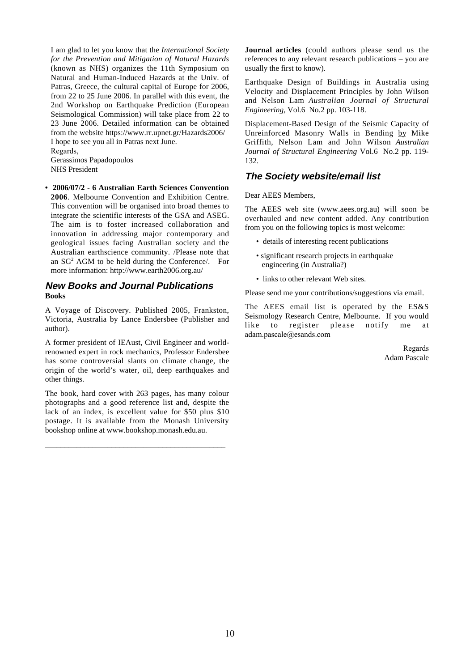I am glad to let you know that the *International Society for the Prevention and Mitigation of Natural Hazards* (known as NHS) organizes the 11th Symposium on Natural and Human-Induced Hazards at the Univ. of Patras, Greece, the cultural capital of Europe for 2006, from 22 to 25 June 2006. In parallel with this event, the 2nd Workshop on Earthquake Prediction (European Seismological Commission) will take place from 22 to 23 June 2006. Detailed information can be obtained from the website https://www.rr.upnet.gr/Hazards2006/ I hope to see you all in Patras next June.

Regards, Gerassimos Papadopoulos NHS President

**• 2006/07/2 - 6 Australian Earth Sciences Convention 2006**. Melbourne Convention and Exhibition Centre. This convention will be organised into broad themes to integrate the scientific interests of the GSA and ASEG. The aim is to foster increased collaboration and innovation in addressing major contemporary and geological issues facing Australian society and the Australian earthscience community. /Please note that an  $SG<sup>2</sup>$  AGM to be held during the Conference/. For more information: http://www.earth2006.org.au/

## **New Books and Journal Publications Books**

A Voyage of Discovery. Published 2005, Frankston, Victoria, Australia by Lance Endersbee (Publisher and author).

A former president of IEAust, Civil Engineer and worldrenowned expert in rock mechanics, Professor Endersbee has some controversial slants on climate change, the origin of the world's water, oil, deep earthquakes and other things.

The book, hard cover with 263 pages, has many colour photographs and a good reference list and, despite the lack of an index, is excellent value for \$50 plus \$10 postage. It is available from the Monash University bookshop online at www.bookshop.monash.edu.au.

\_\_\_\_\_\_\_\_\_\_\_\_\_\_\_\_\_\_\_\_\_\_\_\_\_\_\_\_\_\_\_\_\_\_\_\_\_\_\_\_\_\_\_\_\_\_

**Journal articles** (could authors please send us the references to any relevant research publications – you are usually the first to know).

Earthquake Design of Buildings in Australia using Velocity and Displacement Principles by John Wilson and Nelson Lam *Australian Journal of Structural Engineering,* Vol.6 No.2 pp. 103-118.

Displacement-Based Design of the Seismic Capacity of Unreinforced Masonry Walls in Bending by Mike Griffith, Nelson Lam and John Wilson *Australian Journal of Structural Engineering* Vol.6 No.2 pp. 119- 132.

## **The Society website/email list**

Dear AEES Members,

The AEES web site (www.aees.org.au) will soon be overhauled and new content added. Any contribution from you on the following topics is most welcome:

- details of interesting recent publications
- significant research projects in earthquake engineering (in Australia?)
- links to other relevant Web sites.

Please send me your contributions/suggestions via email.

The AEES email list is operated by the ES&S Seismology Research Centre, Melbourne. If you would like to register please notify me at adam.pascale@esands.com

> Regards Adam Pascale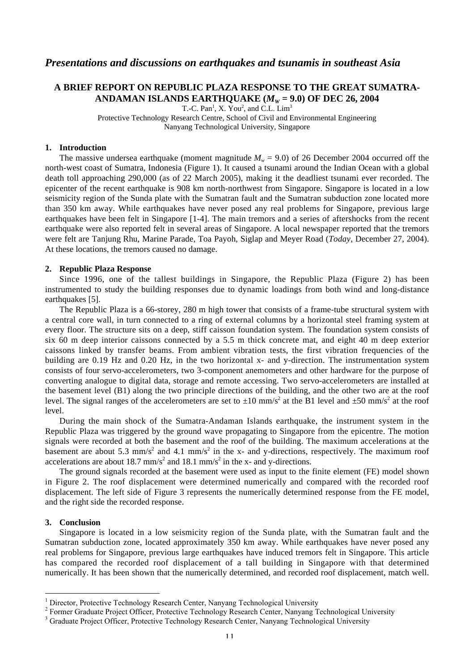## *Presentations and discussions on earthquakes and tsunamis in southeast Asia*

## **A BRIEF REPORT ON REPUBLIC PLAZA RESPONSE TO THE GREAT SUMATRA-**ANDAMAN ISLANDS EARTHQUAKE  $(M_W = 9.0)$  OF DEC 26, 2004

T.-C.  $Pan<sup>1</sup>$ , X. You<sup>2</sup>, and C.L.  $Lim<sup>3</sup>$ 

Protective Technology Research Centre, School of Civil and Environmental Engineering Nanyang Technological University, Singapore

## **1. Introduction**

The massive undersea earthquake (moment magnitude  $M_w = 9.0$ ) of 26 December 2004 occurred off the north-west coast of Sumatra, Indonesia (Figure 1). It caused a tsunami around the Indian Ocean with a global death toll approaching 290,000 (as of 22 March 2005), making it the deadliest tsunami ever recorded. The epicenter of the recent earthquake is 908 km north-northwest from Singapore. Singapore is located in a low seismicity region of the Sunda plate with the Sumatran fault and the Sumatran subduction zone located more than 350 km away. While earthquakes have never posed any real problems for Singapore, previous large earthquakes have been felt in Singapore [1-4]. The main tremors and a series of aftershocks from the recent earthquake were also reported felt in several areas of Singapore. A local newspaper reported that the tremors were felt are Tanjung Rhu, Marine Parade, Toa Payoh, Siglap and Meyer Road (*Today*, December 27, 2004). At these locations, the tremors caused no damage.

### **2. Republic Plaza Response**

Since 1996, one of the tallest buildings in Singapore, the Republic Plaza (Figure 2) has been instrumented to study the building responses due to dynamic loadings from both wind and long-distance earthquakes [5].

The Republic Plaza is a 66-storey, 280 m high tower that consists of a frame-tube structural system with a central core wall, in turn connected to a ring of external columns by a horizontal steel framing system at every floor. The structure sits on a deep, stiff caisson foundation system. The foundation system consists of six 60 m deep interior caissons connected by a 5.5 m thick concrete mat, and eight 40 m deep exterior caissons linked by transfer beams. From ambient vibration tests, the first vibration frequencies of the building are 0.19 Hz and 0.20 Hz, in the two horizontal x- and y-direction. The instrumentation system consists of four servo-accelerometers, two 3-component anemometers and other hardware for the purpose of converting analogue to digital data, storage and remote accessing. Two servo-accelerometers are installed at the basement level (B1) along the two principle directions of the building, and the other two are at the roof level. The signal ranges of the accelerometers are set to  $\pm 10 \text{ mm/s}^2$  at the B1 level and  $\pm 50 \text{ mm/s}^2$  at the roof level.

During the main shock of the Sumatra-Andaman Islands earthquake, the instrument system in the Republic Plaza was triggered by the ground wave propagating to Singapore from the epicentre. The motion signals were recorded at both the basement and the roof of the building. The maximum accelerations at the basement are about 5.3 mm/s<sup>2</sup> and 4.1 mm/s<sup>2</sup> in the x- and y-directions, respectively. The maximum roof accelerations are about 18.7 mm/s<sup>2</sup> and 18.1 mm/s<sup>2</sup> in the x- and y-directions.

The ground signals recorded at the basement were used as input to the finite element (FE) model shown in Figure 2. The roof displacement were determined numerically and compared with the recorded roof displacement. The left side of Figure 3 represents the numerically determined response from the FE model, and the right side the recorded response.

## **3. Conclusion**

Singapore is located in a low seismicity region of the Sunda plate, with the Sumatran fault and the Sumatran subduction zone, located approximately 350 km away. While earthquakes have never posed any real problems for Singapore, previous large earthquakes have induced tremors felt in Singapore. This article has compared the recorded roof displacement of a tall building in Singapore with that determined numerically. It has been shown that the numerically determined, and recorded roof displacement, match well.

 $\frac{1}{1}$ Director, Protective Technology Research Center, Nanyang Technological University

<sup>2</sup> Former Graduate Project Officer, Protective Technology Research Center, Nanyang Technological University

<sup>&</sup>lt;sup>3</sup> Graduate Project Officer, Protective Technology Research Center, Nanyang Technological University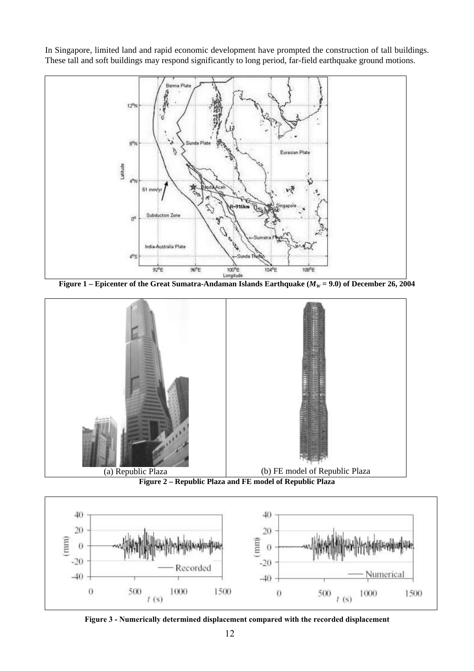In Singapore, limited land and rapid economic development have prompted the construction of tall buildings. These tall and soft buildings may respond significantly to long period, far-field earthquake ground motions.



**Figure 1** – Epicenter of the Great Sumatra-Andaman Islands Earthquake ( $M_W$  = 9.0) of December 26, 2004







Figure 3 - Numerically determined displacement compared with the recorded displacement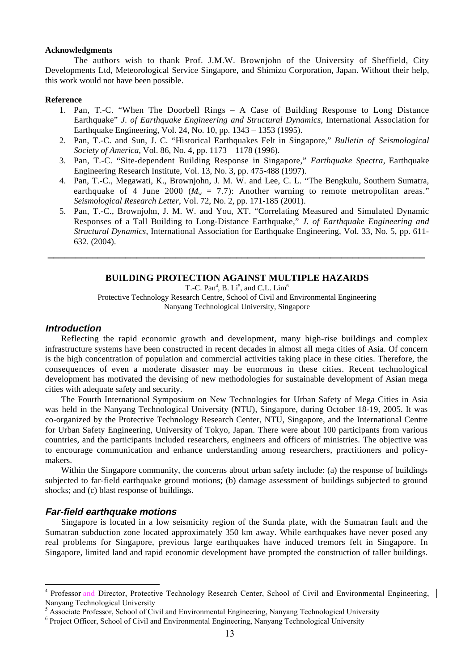## **Acknowledgments**

The authors wish to thank Prof. J.M.W. Brownjohn of the University of Sheffield, City Developments Ltd, Meteorological Service Singapore, and Shimizu Corporation, Japan. Without their help, this work would not have been possible.

## **Reference**

- 1. Pan, T.-C. "When The Doorbell Rings A Case of Building Response to Long Distance Earthquake" *J. of Earthquake Engineering and Structural Dynamics*, International Association for Earthquake Engineering, Vol. 24, No. 10, pp. 1343 – 1353 (1995).
- 2. Pan, T.-C. and Sun, J. C. "Historical Earthquakes Felt in Singapore," *Bulletin of Seismological Society of America*, Vol. 86, No. 4, pp. 1173 – 1178 (1996).
- 3. Pan, T.-C. "Site-dependent Building Response in Singapore," *Earthquake Spectra*, Earthquake Engineering Research Institute, Vol. 13, No. 3, pp. 475-488 (1997).
- 4. Pan, T.-C., Megawati, K., Brownjohn, J. M. W. and Lee, C. L. "The Bengkulu, Southern Sumatra, earthquake of 4 June 2000 ( $M_w = 7.7$ ): Another warning to remote metropolitan areas." *Seismological Research Letter*, Vol. 72, No. 2, pp. 171-185 (2001).
- 5. Pan, T.-C., Brownjohn, J. M. W. and You, XT. "Correlating Measured and Simulated Dynamic Responses of a Tall Building to Long-Distance Earthquake," *J. of Earthquake Engineering and Structural Dynamics*, International Association for Earthquake Engineering, Vol. 33, No. 5, pp. 611- 632. (2004).

## **BUILDING PROTECTION AGAINST MULTIPLE HAZARDS**

*\_\_\_\_\_\_\_\_\_\_\_\_\_\_\_\_\_\_\_\_\_\_\_\_\_\_\_\_\_\_\_\_\_\_\_\_\_\_\_\_\_\_\_\_\_\_\_\_\_\_\_\_\_\_\_\_\_\_\_\_\_\_\_\_\_\_\_\_*

T.-C. Pan<sup>4</sup>, B. Li<sup>5</sup>, and C.L. Lim<sup>6</sup> Protective Technology Research Centre, School of Civil and Environmental Engineering Nanyang Technological University, Singapore

## **Introduction**

Reflecting the rapid economic growth and development, many high-rise buildings and complex infrastructure systems have been constructed in recent decades in almost all mega cities of Asia. Of concern is the high concentration of population and commercial activities taking place in these cities. Therefore, the consequences of even a moderate disaster may be enormous in these cities. Recent technological development has motivated the devising of new methodologies for sustainable development of Asian mega cities with adequate safety and security.

The Fourth International Symposium on New Technologies for Urban Safety of Mega Cities in Asia was held in the Nanyang Technological University (NTU), Singapore, during October 18-19, 2005. It was co-organized by the Protective Technology Research Center, NTU, Singapore, and the International Centre for Urban Safety Engineering, University of Tokyo, Japan. There were about 100 participants from various countries, and the participants included researchers, engineers and officers of ministries. The objective was to encourage communication and enhance understanding among researchers, practitioners and policymakers.

Within the Singapore community, the concerns about urban safety include: (a) the response of buildings subjected to far-field earthquake ground motions; (b) damage assessment of buildings subjected to ground shocks; and (c) blast response of buildings.

## **Far-field earthquake motions**

Singapore is located in a low seismicity region of the Sunda plate, with the Sumatran fault and the Sumatran subduction zone located approximately 350 km away. While earthquakes have never posed any real problems for Singapore, previous large earthquakes have induced tremors felt in Singapore. In Singapore, limited land and rapid economic development have prompted the construction of taller buildings.

<sup>&</sup>lt;sup>4</sup> Professor and Director, Protective Technology Research Center, School of Civil and Environmental Engineering, Nanyang Technological University

<sup>&</sup>lt;sup>5</sup> Associate Professor, School of Civil and Environmental Engineering, Nanyang Technological University

<sup>&</sup>lt;sup>6</sup> Project Officer, School of Civil and Environmental Engineering, Nanyang Technological University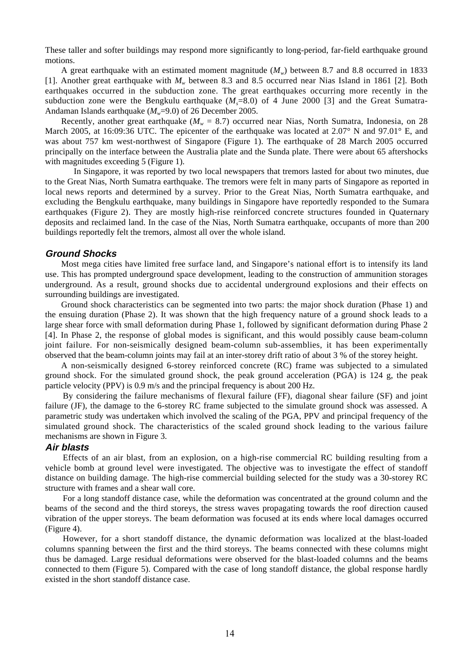These taller and softer buildings may respond more significantly to long-period, far-field earthquake ground motions.

A great earthquake with an estimated moment magnitude  $(M<sub>w</sub>)$  between 8.7 and 8.8 occurred in 1833 [1]. Another great earthquake with *Mw* between 8.3 and 8.5 occurred near Nias Island in 1861 [2]. Both earthquakes occurred in the subduction zone. The great earthquakes occurring more recently in the subduction zone were the Bengkulu earthquake  $(M<sub>e</sub>=8.0)$  of 4 June 2000 [3] and the Great Sumatra-Andaman Islands earthquake ( $M_w$ =9.0) of 26 December 2005.

Recently, another great earthquake ( $M_w = 8.7$ ) occurred near Nias, North Sumatra, Indonesia, on 28 March 2005, at 16:09:36 UTC. The epicenter of the earthquake was located at 2.07° N and 97.01° E, and was about 757 km west-northwest of Singapore (Figure 1). The earthquake of 28 March 2005 occurred principally on the interface between the Australia plate and the Sunda plate. There were about 65 aftershocks with magnitudes exceeding 5 (Figure 1).

In Singapore, it was reported by two local newspapers that tremors lasted for about two minutes, due to the Great Nias, North Sumatra earthquake. The tremors were felt in many parts of Singapore as reported in local news reports and determined by a survey. Prior to the Great Nias, North Sumatra earthquake, and excluding the Bengkulu earthquake, many buildings in Singapore have reportedly responded to the Sumara earthquakes (Figure 2). They are mostly high-rise reinforced concrete structures founded in Quaternary deposits and reclaimed land. In the case of the Nias, North Sumatra earthquake, occupants of more than 200 buildings reportedly felt the tremors, almost all over the whole island.

## **Ground Shocks**

Most mega cities have limited free surface land, and Singapore's national effort is to intensify its land use. This has prompted underground space development, leading to the construction of ammunition storages underground. As a result, ground shocks due to accidental underground explosions and their effects on surrounding buildings are investigated.

Ground shock characteristics can be segmented into two parts: the major shock duration (Phase 1) and the ensuing duration (Phase 2). It was shown that the high frequency nature of a ground shock leads to a large shear force with small deformation during Phase 1, followed by significant deformation during Phase 2 [4]. In Phase 2, the response of global modes is significant, and this would possibly cause beam-column joint failure. For non-seismically designed beam-column sub-assemblies, it has been experimentally observed that the beam-column joints may fail at an inter-storey drift ratio of about 3 % of the storey height.

A non-seismically designed 6-storey reinforced concrete (RC) frame was subjected to a simulated ground shock. For the simulated ground shock, the peak ground acceleration (PGA) is 124 g, the peak particle velocity (PPV) is 0.9 m/s and the principal frequency is about 200 Hz.

By considering the failure mechanisms of flexural failure (FF), diagonal shear failure (SF) and joint failure (JF), the damage to the 6-storey RC frame subjected to the simulate ground shock was assessed. A parametric study was undertaken which involved the scaling of the PGA, PPV and principal frequency of the simulated ground shock. The characteristics of the scaled ground shock leading to the various failure mechanisms are shown in Figure 3.

## **Air blasts**

Effects of an air blast, from an explosion, on a high-rise commercial RC building resulting from a vehicle bomb at ground level were investigated. The objective was to investigate the effect of standoff distance on building damage. The high-rise commercial building selected for the study was a 30-storey RC structure with frames and a shear wall core.

For a long standoff distance case, while the deformation was concentrated at the ground column and the beams of the second and the third storeys, the stress waves propagating towards the roof direction caused vibration of the upper storeys. The beam deformation was focused at its ends where local damages occurred (Figure 4).

However, for a short standoff distance, the dynamic deformation was localized at the blast-loaded columns spanning between the first and the third storeys. The beams connected with these columns might thus be damaged. Large residual deformations were observed for the blast-loaded columns and the beams connected to them (Figure 5). Compared with the case of long standoff distance, the global response hardly existed in the short standoff distance case.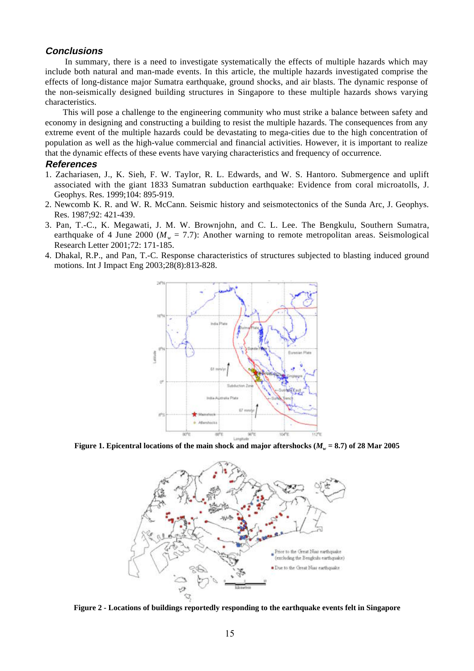## **Conclusions**

In summary, there is a need to investigate systematically the effects of multiple hazards which may include both natural and man-made events. In this article, the multiple hazards investigated comprise the effects of long-distance major Sumatra earthquake, ground shocks, and air blasts. The dynamic response of the non-seismically designed building structures in Singapore to these multiple hazards shows varying characteristics.

This will pose a challenge to the engineering community who must strike a balance between safety and economy in designing and constructing a building to resist the multiple hazards. The consequences from any extreme event of the multiple hazards could be devastating to mega-cities due to the high concentration of population as well as the high-value commercial and financial activities. However, it is important to realize that the dynamic effects of these events have varying characteristics and frequency of occurrence.

## **References**

- 1. Zachariasen, J., K. Sieh, F. W. Taylor, R. L. Edwards, and W. S. Hantoro. Submergence and uplift associated with the giant 1833 Sumatran subduction earthquake: Evidence from coral microatolls, J. Geophys. Res. 1999;104: 895-919.
- 2. Newcomb K. R. and W. R. McCann. Seismic history and seismotectonics of the Sunda Arc, J. Geophys. Res. 1987;92: 421-439.
- 3. Pan, T.-C., K. Megawati, J. M. W. Brownjohn, and C. L. Lee. The Bengkulu, Southern Sumatra, earthquake of 4 June 2000 ( $M_w = 7.7$ ): Another warning to remote metropolitan areas. Seismological Research Letter 2001;72: 171-185.
- 4. Dhakal, R.P., and Pan, T.-C. Response characteristics of structures subjected to blasting induced ground motions. Int J Impact Eng 2003;28(8):813-828.



**Figure 1. Epicentral locations of the main shock and major aftershocks (** $M_w = 8.7$ **) of 28 Mar 2005** 



**Figure 2 - Locations of buildings reportedly responding to the earthquake events felt in Singapore**